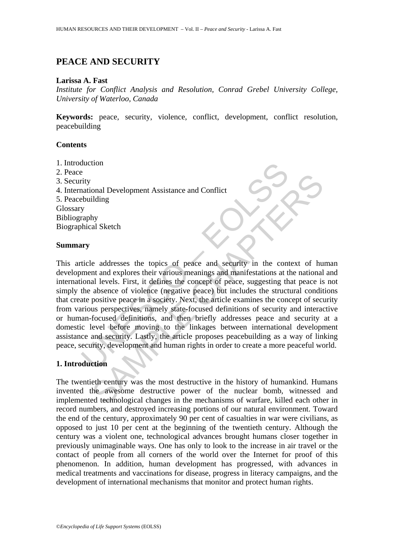# **PEACE AND SECURITY**

## **Larissa A. Fast**

*Institute for Conflict Analysis and Resolution, Conrad Grebel University College, University of Waterloo, Canada* 

**Keywords:** peace, security, violence, conflict, development, conflict resolution, peacebuilding

## **Contents**

- 1. Introduction
- 2. Peace
- 3. Security
- 4. International Development Assistance and Conflict
- 5. Peacebuilding

Glossary

Bibliography

Biographical Sketch

## **Summary**

Example 1<br>
Example 1<br>
Experiment Assistance and Conflict<br>
Evaluational Development Assistance and Conflict<br>
Evaluations<br>
y<br>
wry<br>
ury<br>
ury<br>
ury<br>
ury<br>
ticle addresses the topics of peace and security in the control<br>
ment and onal Development Assistance and Conflict<br>idding<br>tiding<br>ty<br>hy<br>al Sketch<br>that and explores their various meanings and mainfestations at the national<br>al levels. First, it defines the concept of peace, suggesting that peace is This article addresses the topics of peace and security in the context of human development and explores their various meanings and manifestations at the national and international levels. First, it defines the concept of peace, suggesting that peace is not simply the absence of violence (negative peace) but includes the structural conditions that create positive peace in a society. Next, the article examines the concept of security from various perspectives, namely state-focused definitions of security and interactive or human-focused definitions, and then briefly addresses peace and security at a domestic level before moving to the linkages between international development assistance and security. Lastly, the article proposes peacebuilding as a way of linking peace, security, development and human rights in order to create a more peaceful world.

## **1. Introduction**

The twentieth century was the most destructive in the history of humankind. Humans invented the awesome destructive power of the nuclear bomb, witnessed and implemented technological changes in the mechanisms of warfare, killed each other in record numbers, and destroyed increasing portions of our natural environment. Toward the end of the century, approximately 90 per cent of casualties in war were civilians, as opposed to just 10 per cent at the beginning of the twentieth century. Although the century was a violent one, technological advances brought humans closer together in previously unimaginable ways. One has only to look to the increase in air travel or the contact of people from all corners of the world over the Internet for proof of this phenomenon. In addition, human development has progressed, with advances in medical treatments and vaccinations for disease, progress in literacy campaigns, and the development of international mechanisms that monitor and protect human rights.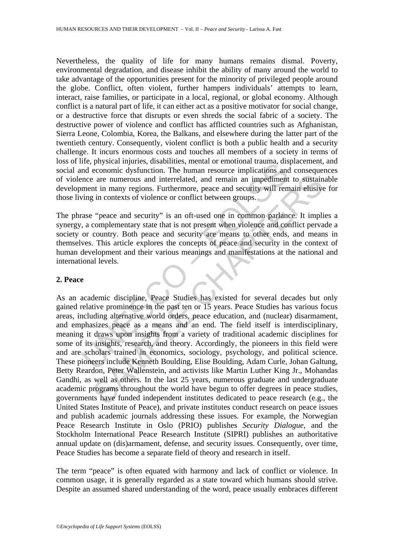Nevertheless, the quality of life for many humans remains dismal. Poverty, environmental degradation, and disease inhibit the ability of many around the world to take advantage of the opportunities present for the minority of privileged people around the globe. Conflict, often violent, further hampers individuals' attempts to learn, interact, raise families, or participate in a local, regional, or global economy. Although conflict is a natural part of life, it can either act as a positive motivator for social change, or a destructive force that disrupts or even shreds the social fabric of a society. The destructive power of violence and conflict has afflicted countries such as Afghanistan, Sierra Leone, Colombia, Korea, the Balkans, and elsewhere during the latter part of the twentieth century. Consequently, violent conflict is both a public health and a security challenge. It incurs enormous costs and touches all members of a society in terms of loss of life, physical injuries, disabilities, mental or emotional trauma, displacement, and social and economic dysfunction. The human resource implications and consequences of violence are numerous and interrelated, and remain an impediment to sustainable development in many regions. Furthermore, peace and security will remain elusive for those living in contexts of violence or conflict between groups.

The phrase "peace and security" is an oft-used one in common parlance. It implies a synergy, a complementary state that is not present when violence and conflict pervade a society or country. Both peace and security are means to other ends, and means in themselves. This article explores the concepts of peace and security in the context of human development and their various meanings and manifestations at the national and international levels.

## **2. Peace**

Theyster injuries, unsamines, inential or entotional usaminations<br>and economic dysfunction. The human resource implications and<br>net economic dysfunction. The human resource implications and<br>menter in many regions. Furtherm e are numerous and interrelated, and remain an impediment to sustain<br>the in many regions. Furthermore, peace and security will remain elusive<br>in contexts of violence or conflict between groups.<br>"equals the control of the s As an academic discipline, Peace Studies has existed for several decades but only gained relative prominence in the past ten or 15 years. Peace Studies has various focus areas, including alternative world orders, peace education, and (nuclear) disarmament, and emphasizes peace as a means and an end. The field itself is interdisciplinary, meaning it draws upon insights from a variety of traditional academic disciplines for some of its insights, research, and theory. Accordingly, the pioneers in this field were and are scholars trained in economics, sociology, psychology, and political science. These pioneers include Kenneth Boulding, Elise Boulding, Adam Curle, Johan Galtung, Betty Reardon, Peter Wallenstein, and activists like Martin Luther King Jr., Mohandas Gandhi, as well as others. In the last 25 years, numerous graduate and undergraduate academic programs throughout the world have begun to offer degrees in peace studies, governments have funded independent institutes dedicated to peace research (e.g., the United States Institute of Peace), and private institutes conduct research on peace issues and publish academic journals addressing these issues. For example, the Norwegian Peace Research Institute in Oslo (PRIO) publishes *Security Dialogue*, and the Stockholm International Peace Research Institute (SIPRI) publishes an authoritative annual update on (dis)armament, defense, and security issues. Consequently, over time, Peace Studies has become a separate field of theory and research in itself.

The term "peace" is often equated with harmony and lack of conflict or violence. In common usage, it is generally regarded as a state toward which humans should strive. Despite an assumed shared understanding of the word, peace usually embraces different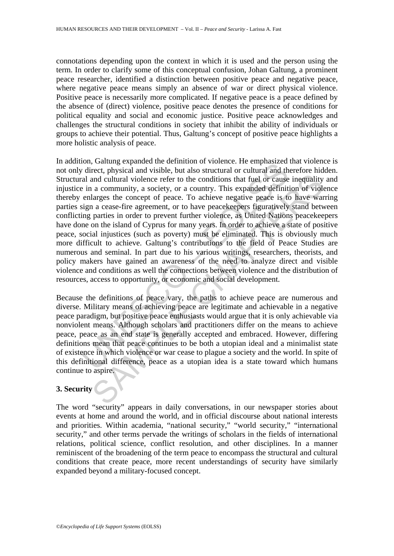connotations depending upon the context in which it is used and the person using the term. In order to clarify some of this conceptual confusion, Johan Galtung, a prominent peace researcher, identified a distinction between positive peace and negative peace, where negative peace means simply an absence of war or direct physical violence. Positive peace is necessarily more complicated. If negative peace is a peace defined by the absence of (direct) violence, positive peace denotes the presence of conditions for political equality and social and economic justice. Positive peace acknowledges and challenges the structural conditions in society that inhibit the ability of individuals or groups to achieve their potential. Thus, Galtung's concept of positive peace highlights a more holistic analysis of peace.

on, Gualing expanded un eleminton or violence. It empitational<br>of v direct, physical and visible, but also structural or cultural and th<br>and cultural violence refer to the conditions that fuel or cause<br>e in a community, a and cultural violence refer to the conditions that fuel or cause inequality<br>a community, a society, or a country. This expanded definition of violation<br>are concept of peace. To achieve negative peace is to have was<br>actions In addition, Galtung expanded the definition of violence. He emphasized that violence is not only direct, physical and visible, but also structural or cultural and therefore hidden. Structural and cultural violence refer to the conditions that fuel or cause inequality and injustice in a community, a society, or a country. This expanded definition of violence thereby enlarges the concept of peace. To achieve negative peace is to have warring parties sign a cease-fire agreement, or to have peacekeepers figuratively stand between conflicting parties in order to prevent further violence, as United Nations peacekeepers have done on the island of Cyprus for many years. In order to achieve a state of positive peace, social injustices (such as poverty) must be eliminated. This is obviously much more difficult to achieve. Galtung's contributions to the field of Peace Studies are numerous and seminal. In part due to his various writings, researchers, theorists, and policy makers have gained an awareness of the need to analyze direct and visible violence and conditions as well the connections between violence and the distribution of resources, access to opportunity, or economic and social development.

Because the definitions of peace vary, the paths to achieve peace are numerous and diverse. Military means of achieving peace are legitimate and achievable in a negative peace paradigm, but positive peace enthusiasts would argue that it is only achievable via nonviolent means. Although scholars and practitioners differ on the means to achieve peace, peace as an end state is generally accepted and embraced. However, differing definitions mean that peace continues to be both a utopian ideal and a minimalist state of existence in which violence or war cease to plague a society and the world. In spite of this definitional difference, peace as a utopian idea is a state toward which humans continue to aspire.

## **3. Security**

The word "security" appears in daily conversations, in our newspaper stories about events at home and around the world, and in official discourse about national interests and priorities. Within academia, "national security," "world security," "international security," and other terms pervade the writings of scholars in the fields of international relations, political science, conflict resolution, and other disciplines. In a manner reminiscent of the broadening of the term peace to encompass the structural and cultural conditions that create peace, more recent understandings of security have similarly expanded beyond a military-focused concept.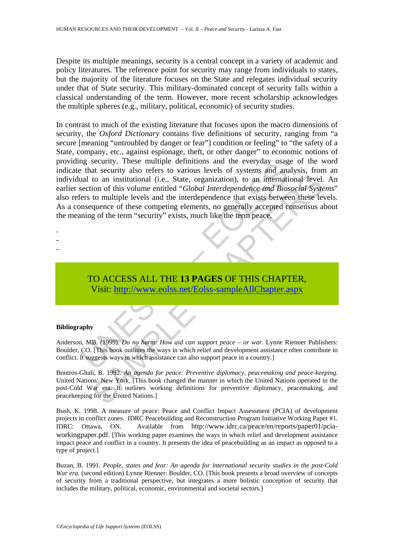Despite its multiple meanings, security is a central concept in a variety of academic and policy literatures. The reference point for security may range from individuals to states, but the majority of the literature focuses on the State and relegates individual security under that of State security. This military-dominated concept of security falls within a classical understanding of the term. However, more recent scholarship acknowledges the multiple spheres (e.g., military, political, economic) of security studies.

If security also refers to various levels of systems and an every was that security also refers to various levels of systems and an all to an institutional (i.e., State, organization), to an internation of this volume ent to an institutional (i.e., State, organization), to an international level.<br>
to an institutional (i.e., State, organization), to an international level.<br>
to multiple levels and the interdependence that exists between thes In contrast to much of the existing literature that focuses upon the macro dimensions of security, the *Oxford Dictionary* contains five definitions of security, ranging from "a secure [meaning "untroubled by danger or fear"] condition or feeling" to "the safety of a State, company, etc., against espionage, theft, or other danger" to economic notions of providing security. These multiple definitions and the everyday usage of the word indicate that security also refers to various levels of systems and analysis, from an individual to an institutional (i.e., State, organization), to an international level. An earlier section of this volume entitled "*Global Interdependence and Biosocial Systems*" also refers to multiple levels and the interdependence that exists between these levels. As a consequence of these competing elements, no generally accepted consensus about the meaning of the term "security" exists, much like the term peace.

- -
- -
- TO ACCESS ALL THE **13 PAGES** OF THIS CHAPTER, Visit: http://www.eolss.net/Eolss-sampleAllChapter.aspx

#### **Bibliography**

Anderson, MB. (1999). *Do no harm: How aid can support peace – or war.* Lynne Rienner Publishers: Boulder, CO. [This book outlines the ways in which relief and development assistance often contribute to conflict. It suggests ways in which assistance can also support peace in a country.]

Boutros-Ghali, B. 1992. *An agenda for peace: Preventive diplomacy, peacemaking and peace-keeping.* United Nations: New York. [This book changed the manner in which the United Nations operated in the post-Cold War era. It outlines working definitions for preventive diplomacy, peacemaking, and peacekeeping for the United Nations.]

Bush, K. 1998. A measure of peace: Peace and Conflict Impact Assessment (PCIA) of development projects in conflict zones. IDRC Peacebuilding and Reconstruction Program Initiative Working Paper #1. IDRC: Ottawa, ON. Available from http://www.idrc.ca/peace/en/reports/paper01/pciaworkingpaper.pdf. [This working paper examines the ways in which relief and development assistance impact peace and conflict in a country. It presents the idea of peacebuilding as an impact as opposed to a type of project.]

Buzan, B. 1991. *People, states and fear: An agenda for international security studies in the post-Cold War era.* (second edition) Lynne Rienner: Boulder, CO. [This book presents a broad overview of concepts of security from a traditional perspective, but integrates a more holistic conception of security that includes the military, political, economic, environmental and societal sectors.]